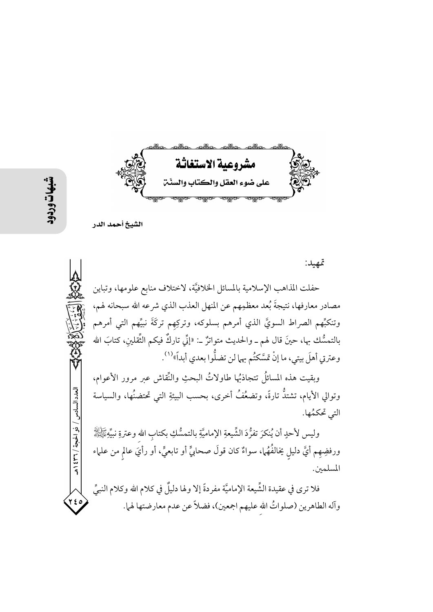مشروعية الاستغاثة على ضوء العقل والكتاب والسنُن

تمهيد:

حفلت المذاهب الإسلامية بالمسائل الخلافيَّة، لاختلاف منابع علومها، وتباين مصادر معارفها، نتيجةً بُعد معظمِهم عن المنهل العذب الذي شرعه الله سبحانه لهم، وتنكبُّهم الصراط السويَّ الذي أمرهم بسلوكه، وتركِهِم تركَةَ نبيِّهم التي أمرهم بالتمسُّك بها، حينَ قال لهم ــ والحديث متواترٌ ــ: «إنِّي تاركٌ فيكم الثِّقلينِ، كتابَ الله وعترتي أهلَ بيتي، ما إنْ تمسَّكتُم بهما لن تضلُّوا بعدي أبداً»<sup>(١)</sup>.

وبقيت هذه المسائلُ تتجاذُبُها طاولاتُ البحثِ والنِّقاش عبر مرور الأعوام، وتوالى الأيام، تشتدُّ تارةً، وتضعُفُ أخرى، بحسب البيئةِ التي تحتضنُها، والسياسة التي تحكمُها.

وليس لأحدٍ أن يُنكرَ تفرُّدَ الشِّيعةِ الإماميَّةِ بالتمسُّكِ بكتابِ الله وعترةِ نبيِّهِﷺ ورفضِهِم أيَّ دليلٍ يَخالفُهُما، سواءٌ كان قولَ صحابيٍّ أو تابعيٍّ، أو رأيَ عالم من علماء المسلمين.

فلا ترى في عقيدة الشِّيعة الإماميَّة مفردةً إلا ولها دليلٌ في كلام الله وكلام النبيِّ وآله الطاهرين (صلواتُ الله عليهم اجمعين)، فضلاً عن عدم معارضتها لهما.

العدد السادس / ذو الحجة / ٣٦ / ٤٣٩

، ع ۲

الشيخ أحمد الدر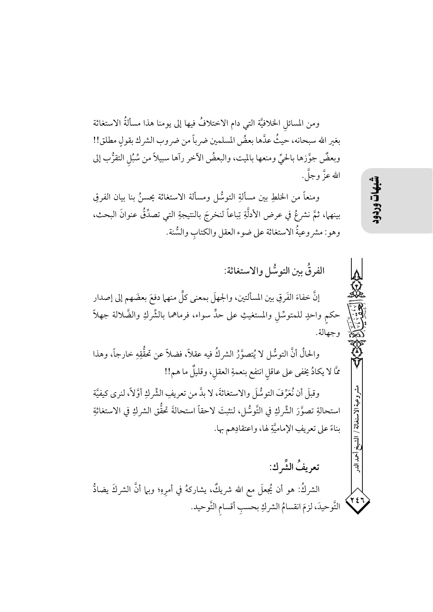ومن المسائل الخلافيَّة التي دام الاختلافُ فيها إلى يومنا هذا مسألةُ الاستغاثة بغير الله سبحانه، حيثُ عدَّها بعضُ المسلمين ضرباً من ضروب الشرك بقولِ مطلق!! وبعضٌ جوَّزها بالحيِّ ومنعها بالميت، والبعضُ الآخر رآها سبيلاً من سُبُل التقرُّب إلى الله عزَّ وجلَّ.

ومنعاً من الخلطِ بين مسألةِ التوسُّل ومسألة الاستغاثة يحسنُ بنا بيان الفرقِ بينهما، ثمَّ نشرعُ في عرض الأدلَّةِ تِباعاً لنخرجَ بالنتيجةِ التي تصدِّقُ عنوانَ البحث، وهو: مشروعيةُ الاستغاثة على ضوء العقل والكتاب والسُّنة.

الفرقُ بين التوسُّل والاستغاثة: إنَّ خفاءَ الفَرقِ بين المسألتين، والجهلَ بمعنى كلِّ منهما دفعَ بعضَهم إلى إصدار حكم واحدٍ للمتوسِّل والمستغيثِ على حدٍّ سواء، فرماهما بالشِّركِ والضَّلالة جهلاً وجهالة. والحالُ أنَّ التوسُّل لا يُتصوَّرُ الشركُ فيه عقلاً، فضلاً عن تحقُّقِهِ خارجاً، وهذا مَّا لا يكادُ يخفي على عاقل انتفع بنعمةِ العقل، وقليلٌ ما هم!! وقبلَ أن نُعَرِّفَ التوسُّلَ والاستغاثةَ، لا بدَّ من تعريفِ الشَّركِ أوَّلاً، لنرى كيفيَّة استحالةِ تصوَّرَ الشِّركِ في التَّوسُّل، لنثبتَ لاحقاً استحالةَ تحقُّق الشركِ في الاستغاثةِ بناءً على تعريفِ الإماميَّةِ لها، واعتقادِهم بها. تعريفُ الشَّرك: الشركُ: هو أن يُجعلَ مع الله شريكٌ، يشاركهُ في أمرهِ؛ وبها أنَّ الشركَ يضادُّ  $\mathbf{Y}$ التَّوحيدَ، لزمَ انقسامُ الشركِ بحسبِ أقسام التَّوحيد.

# شبهات gcege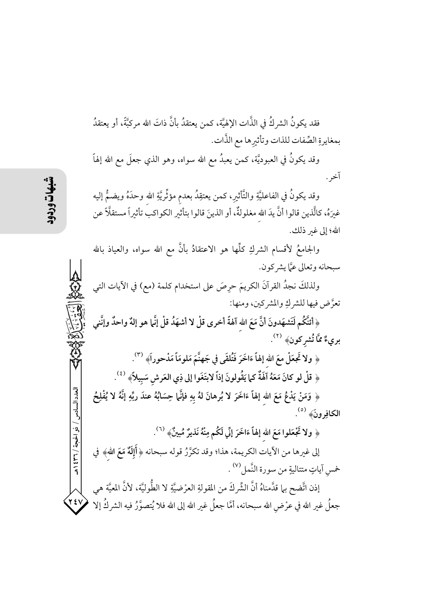فقد يكونُ الشركُ في الذَّات الإلهيَّة، كمن يعتقدُ بأنَّ ذاتَ الله مركبَّةً، أو يعتقدُ بمغايرةِ الصِّفات للذات وتأثيرها مع الذَّات.

وقد يكونُ في العبوديَّة، كمن يعبدُ مع الله سواه، وهو الذي جعلَ مع الله إلهاً آخر .

وقد يكونُ في الفاعليَّةِ والتَّأثير، كمن يعتقِدُ بعدم مؤثِّريَّةِ الله وحدَهُ ويضمُّ إليه غيرَهُ، كالَّذين قالوا أنَّ يدَ الله مغلولةٌ، أو الذينَ قالوا بتأثير الكواكب تأثيراً مستقلَّاً عن الله؛ إلى غير ذلك.

والجامعُ ﻷقسام الشركِ كلِّها هو الاعتقادُ بأنَّ مع الله سواه، والعياذ بالله سېحانه و تعالى عيًا پشر كون.

ولذلكَ نجدُ القرآنَ الكريمَ حرِصَ على استخدام كلمة (مع) في الآيات التي تعرَّض فيها للشركِ والمشركين، ومنها:

﴿ أَتْنَكُم لَتَشْهَدُونَ أَنَّ مَعَ الله آلهةً أخرى قلْ لا أشهَدُ قلْ إنَّها هو إلهٌ واحدٌ وإنَّنى برىءٌ ممَّا تُشركون﴾ (٢).

﴿ ولا تَجعَلْ معَ الله إِلهاً ءَاخَرَ فَتُلقَى فِي جَهنَّمَ مَلومَاً مَدْحوراَ﴾ (٣). ﴿ قُلْ لَو كَانَ مَعَهُ آهَٰةٌ كَمَا يَقُولُونَ إِذاً لابتَغَوا إِلى ذِي العَرشِ سَبِيلاً﴾ (٤).

﴿ وَمَنْ يَدْعُ مَعَ الله إِلهاً ءَاخَرَ لا بُرِهانَ لهُ بهِ فإنَّما حِسَابُهُ عندَ ربِّهِ إنَّهُ لا يُفْلِحُ الكافِرونَ﴾ (٥)

﴿ ولا تَجْعَلُوا مَعَ الله إِلهاً ءَاخَرَ إِنِّي لَكُم مِنْهُ نَذِيرٌ مُبِينٌ﴾ لا َ .

إلى غيرها من الأيات الكريمة، هذا؛ وقد تكرَّرُ قوله سبحانه ﴿أَإِلَٰهٌ مَعَ اللَّهِ﴾ في خمس آياتٍ متتاليةٍ من سورة النَّمل<sup>(٧)</sup> .

إذن اتَّضح بها قدَّمناهُ أنَّ الشِّركَ من المقولةِ العرْضيَّةِ لا الطُّوليَّة، لأنَّ المعيَّة هي  $(Y \xi V)$ جعلٌ غير الله في عرْض الله سبحانه، أمَّا جعلٌ غير الله إلى الله فلا يُتصوَّرُ فيه الشركُ إلا ۖ ♦

العدد السادس / ذو الحجة / ٣٦ / ٤٣٩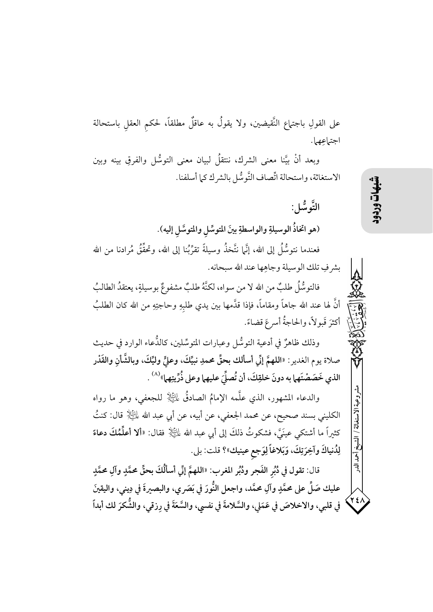على القولِ باجتماع النَّقيضين، ولا يقولُ به عاقلٌ مطلقاً، لحكم العقل باستحالة اجتماعِهما.

وبعد أنْ بيَّنا معنى الشرك، ننتقلُّ لبيان معنى التوسُّل والفرقِ بينه وبين الاستغاثة، واستحالة اتِّصاف التَّوسُّل بالشرك كما أسلفنا.

> التَّوِيثُّلِ: (هو اتخاذُ الوسيلةِ والواسطةِ بينَ المتوسِّل والمتوسَّل إليه).

فعندما نتوسُّلُ إلى الله، إنَّما نتَّخذُ وسيلةً تقرِّبُنا إلى الله، وتحقُّقُ مُرادنا من الله بشر فِ تلك الوسيلة وجاهِها عند الله سبحانه.

فالتوسُّلُ طلبٌ من الله لا من سواه، لكنَّهُ طلبٌ مشفوعٌ بوسيلةٍ، يعتقدُ الطالبُ أنَّ لها عند الله جاهاً ومقاماً، فإذا قدَّمها بين يدي طلبِهِ وحاجتِهِ من الله كان الطلبُ أَكثرَ قَبولاً، والحاجةُ أسرعَ قضاءً.

وذلك ظاهرٌ في أدعية التوسُّل وعبارات المتوسِّلين، كالدُّعاء الوارد في حديث صلاة يوم الغدير : «اللهمَّ إنِّي أسألك بحقٍّ محمدٍ نبيِّكَ، وعليٍّ وليِّكَ، وبالشَّأن والقَدْر الذي خَصَصْتَها به دونَ خلقِكَ، أن تُصلِّ عليها وعلى ذُرِّيتِها»<sup>(٨)</sup> .

والدعاء المشهور، الذي علَّمه الإمامُ الصادقُ ﷺ للجعفي، وهو ما رواه الكليني بسند صحيح، عن محمد الجعفي، عن أبيه، عن أبي عبد الله لِلثِّلِ ۚ قال: كنتُ كثيراً ما أشتكي عينَيَّ، فشكوتُ ذلكَ إلى أبي عبد الله عليَّكِلْإ فقال: «ألا أعلِّمُكَ دعاءً لِلُنياكَ وآخِرَتِكَ، وَبَلاغاً لِوَجع عينيك»؟ قلت: بلي.

قال: تقول في دُبُر الفَجر ودُبُر المغرب: «اللهمَّ إنِّي أسألُكَ بحقٍّ محمَّدٍ وآلِ محمَّدٍ عليك صَلِّ على محمَّدٍ وآلِ محمَّد، واجعل النُّورَ في بَصَرى، والبصيرةَ في دِيني، واليقينَ في قلبي، والاخلاصَ في عَمَلي، والسَّلامةَ في نفسي، والسَّعَةَ في رِزقي، والشُّكرَ لك أبداً الشيخ أحد الدر

721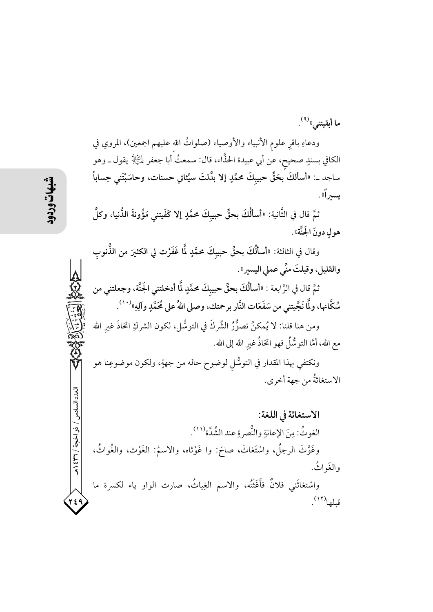ما أبقيتني»<sup>(٩)</sup>.

ودعاءِ باقرِ علوم الأنبياء والأوصياء (صلواتُ الله عليهم اجمعين)، المروي في الكافي بسندٍ صحيح، عن أبي عبيدة الحذَّاء، قال: سمعتُ أبا جعفر ﷺ يقول ــ وهو ساجد ــ: «أسألكَ بِحَقٌّ حبيبِكَ محمِّدٍ إلا بدَّلتَ سيِّئاتي حسنات، وحاسَبْتَني حِساباً ۖ يسىراً».

ثمَّ قال في الثَّانية: «أسألُكَ بحقٍّ حبيبكَ محمَّدٍ إلا كَفَيتنى مَؤُونةَ الدُّنيا، وكلَّ هولٍ دونَ الجَنَّة».

وقال في الثالثة: «أسألُكَ بحقٌّ حبيبكَ محمَّدٍ لَّا غَفَرْت لي الكثيرَ من الذُّنوب والقليل، وقبلتَ منِّي عملي اليسير».

ثمَّ قال في الرَّابعة : «أسألُكَ بحقٍّ حبيبكَ محمَّدٍ لَّا أدخلتني الجَنَّة، وجعلتني من سُكَّانها، ولمَّا نَجَّيتني من سَفَعَات النَّار برحمتك، وصلى اللهُ على مُحَمَّدٍ وآلِهِ»(١٠).

ومن هنا قلنا: لا يُمكنُ تصوُّرُ الشِّركَ في التوسُّل، لكون الشركِ اتخاذَ غيرِ الله مع الله، أمَّا التوسُّلُ فهو اتِّخاذُ غير الله إلى الله.

ونكتفى بهذا المقدار في التوسُّل لوضوح حاله من جهةٍ، ولكون موضوعِنا هو الاستغاثةُ من جهة أخرى.

الاستغاثة في اللغة: نه الحجة / ٢٦٢ (ه الغوثُ: مِنَ الإعانةِ والنُّصرِ ةِ عند الشِّدَّة<sup>(١١)</sup>. وغَوَّثَ الرجلُ، واسْتَغاثَ، صاحَ: وا غَوْثاه، والاسمُ: الغَوْث، والغُواثُ، والغَواثُ. واسْتغاثَني فلانٌ فأَغَثْتُه، والاسم الغِياثُ، صارت الواو ياء لكسرة ما قبلها(١٢).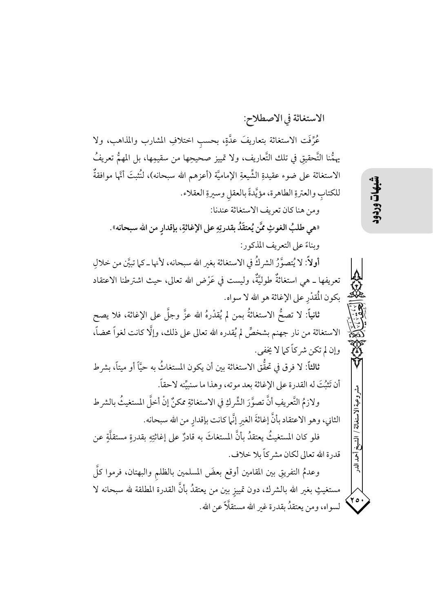الاستغاثة في الاصطلاح:

عُرِّفَت الاستغاثة بتعاريفَ عدَّةٍ، بحسبِ اختلافِ المشارب والمذاهب، ولا يهمُّنا التَّحقيق في تلك التَّعاريف، ولا تمييز صحيحِها من سقيمِها، بل المهمُّ تعريفُ الاستغاثة على ضوء عقيدةِ الشَّيعةِ الإماميَّة (أعزهم الله سبحانه)، لنُثبتَ أنَّها موافقةٌ للكتاب والعترةِ الطاهرة، مؤيَّدةً بالعقل وسيرةِ العقلاء.

ومن هنا كان تعريف الاستغاثة عندنا: «هي طلبُ الغوثِ ممَّن يُعتقَدُ بقدرتِهِ على الإغاثةِ، بإقدارِ من الله سبحانه». وبناءً على التعريف المذكور:

أولاً: لا يُتصوَّرُ الشركُ في الاستغاثة بغير الله سبحانه، لأنها ــ كما تبيَّن من خلالٍ تعريفها ــ هي استغاثةٌ طوليَّةٌ، وليست في عَرْض الله تعالى، حيث اشترطنا الاعتقاد بكون الْمُقدْرِ على الإغاثة هو الله لا سواه.

ثانياً: لا تصحُّ الاستغاثةُ بمن لم يُقدْرهُ الله عزَّ وجلَّ على الإغاثة، فلا يصح الاستغاثة من نار جهنم بشخصٌّ لم يُقدره الله تعالى على ذلك، وإلَّا كانت لغواً محضاً، وإن لم تكن شركاً كما لا يخفي.

ثالثاً: لا فرق في تحقُّق الاستغاثة بين أن يكون المستغاثُ به حيَّاً أو ميتاً، بشرط أن تَثبُتَ له القدرة على الإغاثة بعد موته، وهذا ما سنبيِّنه لاحقاً. ولازمُ التَّعريفِ أنَّ تصوَّرَ الشَّركِ في الاستغاثةِ ممكنٌ إنْ أخلَّ المستغيثُ بالشرط

الثاني، وهو الاعتقاد بأنَّ إغاثةَ الغير إنَّها كانت بإقدارِ من الله سبحانه. فلو كان المستغيثُ يعتقدُ بأنَّ المستغاثَ به قادرٌ على إغاثتِهِ بقدرةٍ مستقلَّةٍ عن قدرة الله تعالى لكان مشر كاً بلا خلاف.

وعدمُ التفريقِ بين المقامين أوقع بعضَ المسلمين بالظلم والبهتان، فرموا كلَّ مستغيثٍ بغير الله بالشرك، دون تمييزِ بين من يعتقدُ بأنَّ القدرة المطلقة لله سبحانه لا لسواه، ومن يعتقدُ بقدرة غبر الله مستقلَّاً عن الله.

شبهات وردود

مشر وعية الاستغاثة / الشيخ أحمد الدر

 $\mathbf{y}$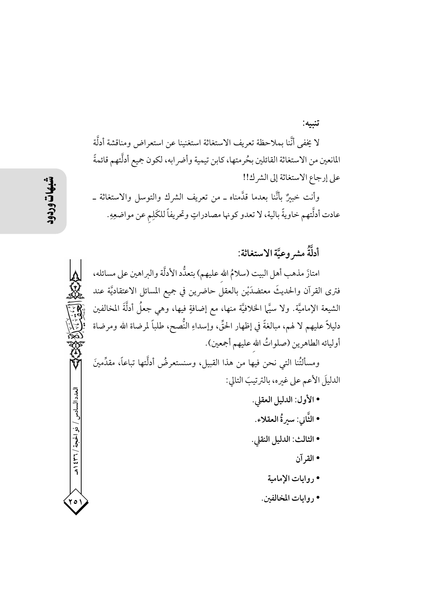تنبيه:

لا يخفى أنَّنا بملاحظة تعريف الاستغاثة استغنينا عن استعراض ومناقشة أدلَّة المانعين من الاستغاثة القائلين بحُرمتها، كابن تيمية وأضرابه، لكون جميع أدلَّتهم قائمةً على إرجاع الاستغاثة إلى الشرك!!

وأنت خبيرٌ بأنَّنا بعدما قدَّمناه ــ من تعريف الشرك والتوسل والاستغاثة ــ عادت أدلَّتهم خاويةً بالية، لا تعدو كونها مصادراتٍ وتحريفاً للكَلِم عن مواضعِهِ.

أدلَّةُ مشر وعيَّة الاستغاثة:

امتازَ مذهب أهل البيت (سلامُ الله عليهم) بتعدُّد الأدلَّة والبراهين على مسائله، فترى القرآن والحديثَ معتضدَيْن بالعقل حاضرين في جميع المسائل الاعتقاديَّة عند الشيعة الإماميَّة. ولا سيَّما الخلافيَّة منها، مع إضافةٍ فيها، وهي جعلُ أدلَّةَ المخالفين دليلاً عليهم لا لهم، مبالغةً في إظهار الحقِّ، وإسداءِ النُّصح، طلباً لمرضاة الله ومرضاة أوليائه الطاهرين (صلواتُ الله عليهم أجمعين).

ومسألتُنا التي نحن فيها من هذا القبيل، وسنستعرضُ أدلَّتها تباعاً، مقدِّمينَ الدليلَ الأعم على غيره، بالترتيبَ التالي:

- الأول: الدليل العقلي. • الثَّاني: سيرةُ العقلاء. • الثالث: الدليل النقلي.
	- القر آن
	- روايات الإمامية
	- روايات المخالفين.

العدد السادس

/ نه الحصة / ٢٣٦ هـ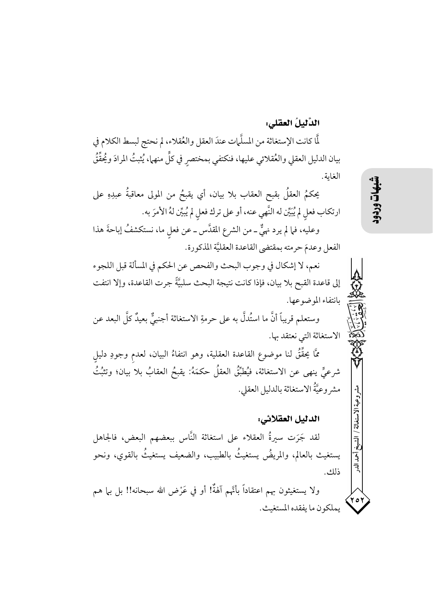## الدَّليلُ العقلي:

لَّا كانت الإستغاثة من المسلَّمات عندَ العقل والعُقلاء، لم نحتج لبسط الكلام في بيان الدليل العقلي والعُقلائي عليها، فنكتفي بمختصرٍ في كلٍّ منهما، يُثبتُ المرادَ ويُحقِّقُ الغاية.

يحكمُ العقلُ بقبح العقاب بلا بيان، أي يقبحُ من المولى معاقبةُ عبدِهِ على ارتكاب فعل لم يُبَيِّن له النَّهي عنه، أو على ترك فعلٍ لم يُبيِّن لهُ الأمرَ به.

وعليه، فيا لم يرد نهيٌّ ــ من الشرع المقدَّس ــ عن فعلٍ ما، نستكشفُ إباحةَ هذا الفعل وعدمَ حرمته بمقتضى القاعدة العقليَّة المذكورة.

نعم، لا إشكال في وجوب البحث والفحص عن الحكم في المسألة قبل اللجوء إلى قاعدة القبح بلا بيان، فإذا كانت نتيجة البحث سلبيَّةً جرت القاعدة، وإلا انتفت بانتفاء الموضوعها.

وستعلم قريباً أنَّ ما استُدلَّ به على حرمةِ الاستغاثة أجنبيٌّ بعيدٌ كلَّ البعد عن الاستغاثة التي نعتقد بها.

مَّا يحقِّقُ لنا موضوع القاعدة العقلية، وهو انتفاءُ البيان، لعدم وجودِ دليل شرعيٍّ ينهي عن الاستغاثة، فيُطبِّقُ العقلُ حكمَهُ: يقبحُ العقابُ بلا بيان؛ وتثبُتُ مشر وعيَّةُ الاستغاثة بالدليل العقلي.

### الدليل العقلائي:

لقد جَرَت سيرةُ العقلاء على استغاثة النَّاس ببعضهم البعض، فالجاهل يستغيث بالعالم، والمريضُ يستغيثُ بالطبيب، والضعيف يستغيثُ بالقوى، ونحو ذلك.

ولا يستغيثون بهم اعتقاداً بأنَّهم آلهةٌ! أو في عَرْض الله سبحانه!! بل بيا هـم يملكون ما يفقده المستغيث. شبهات eccec

مشر وعية الاستغاثة / الشيخ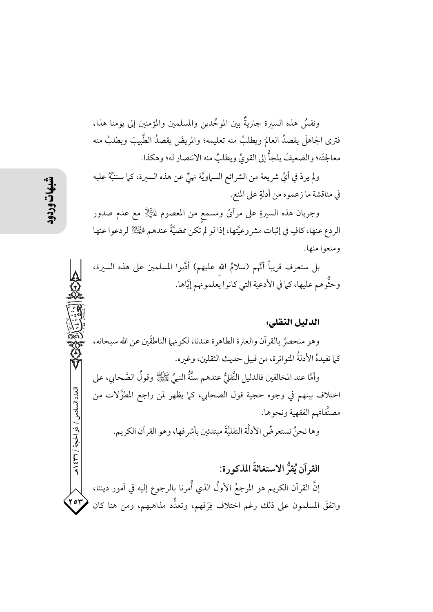ونفسُ هذه السيرة جاريةٌ بين الموحِّدين والمسلمين والمؤمنين إلى يومنا هذا، فترى الجاهلَ يقصدُ العالمَ ويطلبُ منه تعليمه؛ والمريضَ يقصدُ الطَّبيبَ ويطلبُ منه معالجتَه؛ والضعيفَ يلجأُ إلى القويِّ ويطلبُ منه الانتصار له؛ وهكذا.

ولم يردْ في أيِّ شريعة من الشرائع السماويَّة نهيٌ عن هذه السيرة، كما سننبِّهُ عليه في مناقشة ما زعموه من أدلةٍ على المنع.

وجريان هذه السيرةِ على مرأىً ومسمع من المعصوم لِمائِيَلاٍ مع عدم صدور الردع عنها، كافٍ في إثبات مشروعيَّتها، إذا لو لم تكن ممضيَّةً عندهم للظِّيلُ لردعوا عنها ومنعوا منها.

بل ستعرف قريباً أنَّهم (سلامُ الله عليهم) أدَّبوا المسلمين على هذه السيرة، وحثُّوهم عليها، كما في الأدعية التي كانوا يعلمونهم إيَّاها.

#### الدليل النقلي:

وهو منحصرٌ بالقرآن والعترة الطاهرة عندنا، لكونهما الناطقَين عن الله سبحانه، كما تفيدهُ الأدلةُ المتواترة، من قبيل حديث الثقلين، وغيره.

وأمَّا عند المخالفين فالدليل النَّقليُّ عندهم سنَّةٌ النبيِّ ﷺ وقولُ الصَّحابي، على اختلاف بينهم في وجوه حجية قول الصحابي، كما يظهر لمن راجع المطوَّلات من مصنَّفاتهم الفقهية ونحوها.

وها نحرُّ، نستعر ضُ الأدلَّة النقليَّةَ مبتدئين بأشرفها، وهو القرآن الكريم.

# القرآن يُقرُّ الاستغاثةَ المذكورة:

إنَّ القرآن الكريم هو المرجعُ الأولُ الذي أُمرنا بالرجوع إليه في أمور ديننا، واتفقَ المسلمون على ذلك رغم اختلاف فِرَقهم، وتعدُّد مذاهبهم، ومن هنا كان

العدد السادس

/ ذو الحجة / ٢٦١ / هـ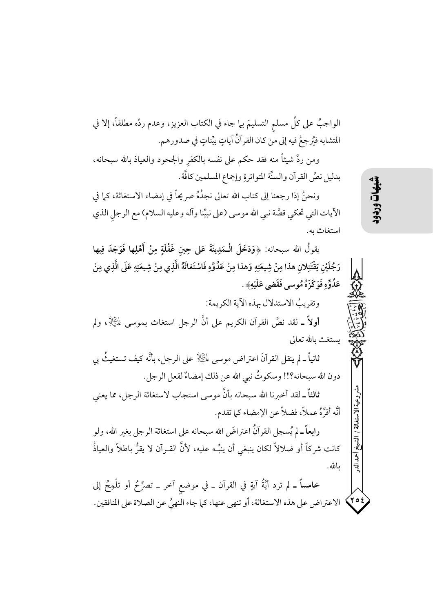الواجبُ على كلِّ مسلم التسليمَ بـما جاء في الكتاب العزيز، وعدم ردِّه مطلقاً، إلا في المتشابه فيُرجعُ فيه إلى من كان القرآنُ آياتٍ بيِّناتٍ في صدورهم.

ومن ردَّ شيئاً منه فقد حكم على نفسه بالكفر والجحود والعياذ بالله سبحانه، بدليل نصِّ القرآن والسنَّة المتواترةِ وإجماع المسلمين كافَّة.

ونحنُّ إذا رجعنا إلى كتاب الله تعالى نجلُهُ صريحاً في إمضاء الاستغاثة، كما في الأيات التي تحكي قصَّة نبي الله موسى (على نبيِّنا وآله وعليه السلام) مع الرجل الذي استغاث به.

يقولُ الله سبحانه: ﴿وَدَخَلَ الْـمَدِينَةَ عَلَى حِينٍ غَفْلَةٍ مِنْ أَهْلِها فَوَجَدَ فِيها رَجُلَيْن يَقْتَتِلان هذا مِنْ شِيعَتِهِ وَهذا مِنْ عَدُوِّهِ فَاسْتَغاثَهُ الَّذِي مِنْ شِيعَتِهِ عَلَى الَّذِي مِنْ عَدُوَّهِ فَوَكَزَهُ مُوسى فَقَضى عَلَيْهِ﴾ . وتقريبُ الاستدلال بهذه الآية الكريمة: أولاً ـ لقد نصَّ القرآن الكريم على أنَّ الرجل استغاث بموسى عليَّالٍا ، ولم ىستغث يالله تعالى ثانياً ــ لم ينقل القرآنَ اعتراض موسى لِلتِّلِلا على الرجل، بأنَّه كيف تستغيثُ بي دون الله سبحانه؟!! وسكوتُ نبي الله عن ذلك إمضاءٌ لفعل الرجل. ثالثاً ــ لقد أخبرنا الله سبحانه بأنَّ موسى استجاب لاستغاثة الرجل، مما يعني وعية الاستغاثة ا أَنَّه أقرَّهُ عملاً، فضلاً عن الإمضاء كما تقدم. رابعاً ــ لم يُسجل القرآنُ اعتراضَ الله سبحانه على استغاثة الرجل بغير الله، ولو كانت شركاً أو ضلالاً لكان ينبغي أن ينبِّـه عليه، لأنَّ القـرآن لا يقرُّ باطلاً والعياذُ آهل الد ىاللە. خامساً ــ لم ترد أَيَّةُ آيةٍ في القرآن ــ في موضع آخر ــ تصرِّحُ أو تلْمِحُ إلى الاعتراض على هذه الاستغاثة، أو تنهى عنها، كما جاء النهيُ عن الصلاة على المنافقين.  $\left\langle \gamma \circ \epsilon \right\rangle$ 

# يشنهان<br>آل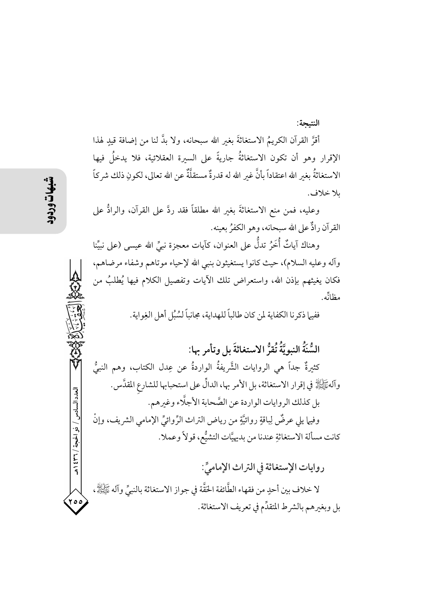أقرَّ القرآن الكريمُ الاستغاثةَ بغير الله سبحانه، ولا بدَّ لنا من إضافة قيدٍ لهذا الإقرار وهو أن تكون الاستغاثةُ جاريةً على السيرة العقلائية، فلا يدخلُ فيها الاستغاثةُ بغير الله اعتقاداً بِأنَّ غير الله له قدرةٌ مستقلَّةٌ عن الله تعالى، لكونِ ذلك شر كاً ىلا خلاف.

وعليه، فمن منع الاستغاثةَ بغير الله مطلقاً فقد ردَّ على القرآن، والرادُّ على القرآن رادٌّ على الله سبحانه، وهو الكفرُ بعينه.

وهناك آياتٌ أُخَرُ تدلُّ على العنوان، كآيات معجزة نبيٍّ الله عيسى (على نبيِّنا وآله وعليه السلام)، حيث كانوا يستغيثون بنبي الله لإحياء موتاهم وشفاء مرضاهم، فكان يغيثهم بإذن الله، واستعراض تلك الآيات وتفصيل الكلام فيها يُطلبُ من مظانه.

ففيها ذكرنا الكفاية لمن كان طالباً للهداية، مجانباً لسُبُل أهل الغِواية.

السُّنَةُ النبويَّةُ تُقرُّ الاستغاثةَ بل وتأمر ما:

النتيحة:

كثيرةٌ جداً هي الروايات الشَّريفةُ الواردةُ عن عِدل الكتاب، وهم النبيُّ وآلهﷺ في إقرار الاستغاثة، بل الأمر بها، الدالِّ على استحبابها للشارع المقدَّس. بل كذلك الروايات الواردة عن الصَّحابة الأجلَّاء وغيرهم. وفيها يلي عرضٌ لِباقةٍ روائيَّةٍ من رياض التراث الرِّوائيِّ الإمامي الشريف، وإنْ كانت مسألة الاستغاثةِ عندنا من بديهيَّات التشيُّع، قولاً وعملا.

روايات الإستغاثة في التراث الإماميِّ: لا خلاف بين أحدٍ من فقهاء الطَّائفة الحَقَّة في جواز الاستغاثة بالنبيِّ وآله ﷺ، بل وبغيرهم بالشرط المتقدِّم في تعريف الاستغاثة.

العدد السادس / ذو الحجة / ٣٦٦ / ه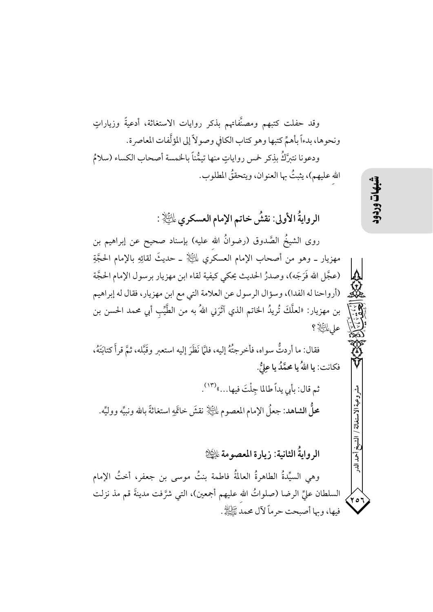وقد حفلت كتبهم ومصنَّفاتهم بذكر روايات الاستغاثة، أدعيةً وزياراتٍ ونحوها، بدءاً بأهمِّ كتبها وهو كتاب الكافي وصولاً إلى المؤلَّفات المعاصرة. ودعونا نتبرَّكُ بذِكر خمس رواياتٍ منها تيمُّناً بالخمسة أصحاب الكساء (سلامُ الله عليهم)، يثبتُ بها العنوان، ويتحقَّقُ المطلوب.

الروايةُ الأولى: نقشُ خاتم الإمام العسكري لِلتِّالِا :

روى الشيخُ الصَّدوق (رضوانُ الله عليه) بإسناد صحيح عن إبراهيم بن مهزيار ـ وهو من أصحاب الإمام العسكري لِمَلَيْكِ ـ حديثَ لقائِهِ بالإمام الحجَّةِ (عجَّل الله فَرَجَه)، وصدرُ الحديث يحكي كيفية لقاء ابن مهزيار برسول الإمام الحجَّة (أرواحنا له الفدا)، وسؤال الرسول عن العلامة التي مع ابن مهزيار، فقال له إبراهيم بن مهزيار: «لعلَّكَ تُريدُ الخاتم الذي آثَرَني اللهُ به من الطَّيِّب أبي محمد الحسن بن على عليه الجدائع

فقال: ما أردتُّ سواه، فأخرجتُهُ إليه، فلمَّ] نَظَرَ إليه استعبر وقَبَّله، ثمَّ قرأَ كتابَتَهُ، فكانت: يا اللهُ يا محمَّدُ يا عِلٌّ.

ثم قال: بأبي يداً طالما جِلْتَ فيها...»(١٣). محلُّ الشاهد: جعلُ الإمام المعصوم لِلتِّيالِ نقشَ خاتَمِهِ استغاثةً بالله ونبيِّه ووليِّه.

الر وايةُ الثانية: زيارة المعصومة ﷺ

وهي السيِّدةُ الطاهرةُ العالمةُ فاطمة بنتُ موسى بن جعفر، أختُ الإمام السلطان عليٍّ الرضا (صلواتُ الله عليهم أجمعين)، التي شرَّفت مدينةَ قم مذ نزلت  $Y \circ Y$ فيها، و بها أصبحت حرماً لآل محمد ﷺ.

مشر وعية الاستغاثة / الشيخ أحمد الدر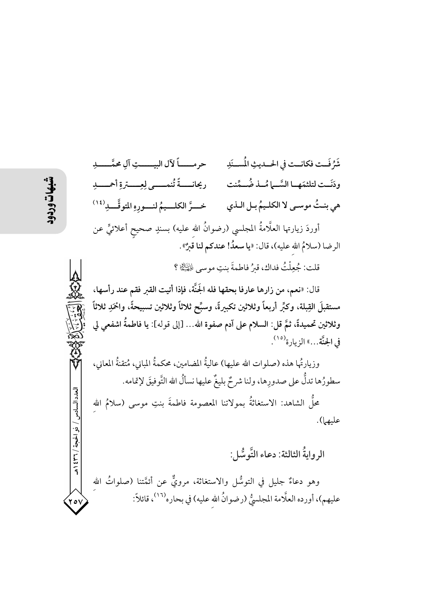شَرُفَـت فكانـت في الحــديثِ المُســنَدِ حرمـــــاً لآل البيـــــتِ آلِ محمَّــــــدِ ودَنَـت لتلثمَهـا السَّــها مُــذ ضُــمِّنت مص ريحانــــةً تُنمــــى لِعِــــترةِ أحمــــدِ خسرَّ الكلسيمُ لنسورِهِ المتوقَّــدِ (١٤) هي بنتُ موسى لا الكليمُ بـل الـذي أوردَ زيارتها العلَّامةُ المجلسي (رضوانُ الله عليه) بسندٍ صحيح أعلائيٍّ عن الرضا (سلامُ الله عليه)، قال: «يا سعدُ! عندكم لنا قبرٌ». قلت: جُعِلْتُ فداك، قبرُ فاطمةَ بنتِ موسى علِيْتَكِيلِ ؟ قال: «نعم، من زارها عارفا بحقها فله الجَنَّة، فإذا أتيت القبر فقم عند رأسها، مستقبلَ القِبلة، وكبِّر أربعاً وثلاثين تكبيرةً، وسبِّح ثلاثاً وثلاثين تسبيحةً، والحمَدِ ثلاثاً وثلاثين تحميدةً، ثمَّ قل: السلام على آدم صفوة الله… [إلى قوله]: يا فاطمةُ اشفعي لي في الجنَّة...» الزيارة<sup>(١٥)</sup>. وزيارتُها هذه (صلوات الله عليها) عاليةُ المضامين، محكمةُ المبانى، مُتقنةُ المعانى، سطورُها تدلُّ على صدورِها، ولنا شرحٌ بليغٌ عليها نسألُ الله التَّوفيقَ لإتمامه. العدد السادس محلُّ الشاهد: الاستغاثةُ بمولاتنا المعصومة فاطمةَ بنتِ موسى (سلامُ الله عليهما). / ذو الحجة / ٢٦١ / هـ الر وايةُ الثالثة: دعاء التَّوسُّل: وهو دعاءٌ جليل في التوسُّل والاستغاثة، مرويٌّ عن أئمَّتنا (صلواتُ الله عليهم)، أورده العلَّامة المجلسيُّ (رضوانُ الله عليه) في بحاره'```، قائلاً: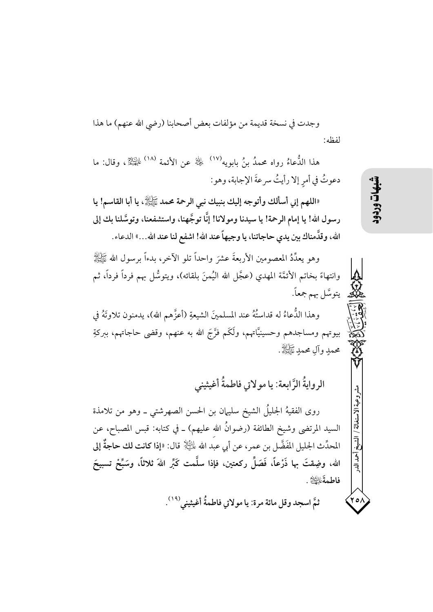وجدت في نسخة قديمة من مؤلفات بعض أصحابنا (رضي الله عنهم) ما هذا لفظه:

هذا الدُّعاءُ رواه محمدُ بنُ بابويه''' ﴿ عَلَىٰهُ عنِ الأئمةِ ''' الصِّحْلَا، وقال: ما دعوتُ في أمرِ إلا رأيتُ سرعةَ الإجابة، وهو:

«اللهم إني أسألك وأتوجه إليك بنبيك نبي الرحمة محمد ﷺ، يا أبا القاسم! يا رسول الله! يا إمام الرحمة! يا سيدنا ومولانا! إنَّا توجَّهنا، واستشفعنا، وتوسَّلنا بك إلى الله، وقدَّمناك بين يدي حاجاتنا، يا وجيهاً عند الله! اشفع لنا عند الله...» الدعاء.

وهو يعدِّدُ المعصومين الأربعةَ عشرَ واحداً تلو الآخرِ، بدءاً برسول الله عَظَيْلَةُ وانتهاءً بخاتم الأئمَّة المهدي (عجَّل الله اليُمنَ بلقائه)، ويتوسُّل بهم فرداً فرداً، ثم ر<br>لکھ يتوسَّل بهم جمعاً.

وهذا الدُّعاءُ له قداستُهُ عند المسلمينَ الشيعةِ (أعزَّهم الله)، يدمنون تلاوتَهُ في بيوتهم ومساجدهم وحسينيَّاتهم، ولَكَم فرَّجَ الله به عنهم، وقضى حاجاتهم، ببركةِ محمدٍ وآلٍ محمدٍ ﷺ.

الروايةُ الرَّابعة: يا مولاتي فاطمةُ أغيثيني

روى الفقيهُ الجليلُ الشيخ سليهان بن الحسن الصهرشتى ــ وهو من تلامذة السيد المرتضى وشيخ الطائفة (رضوانٌ الله عليهم) ـ في كتابه: قبس المصباح، عن المحدِّث الجليل المُفَضَّل بن عمر، عن أبي عبد الله ﷺ قال: «إذا كانت لك حاجةٌ إلى الله، وضِقتَ بها ذَرْعاً، فَصَلِّ ركعتين، فإذا سلَّمت كَبِّر اللهَ ثلاثاً، وسَبِّعْ تسبيحَ فاطمةَ التَّالِ

ثمَّ اسجد وقل مائة مرة: يا مولاتي فاطمةُ أغيثيني <sup>(١٩)</sup>.

و<br>پې

: الاستغاثة /

الشيخ

آهل الد

ره ۲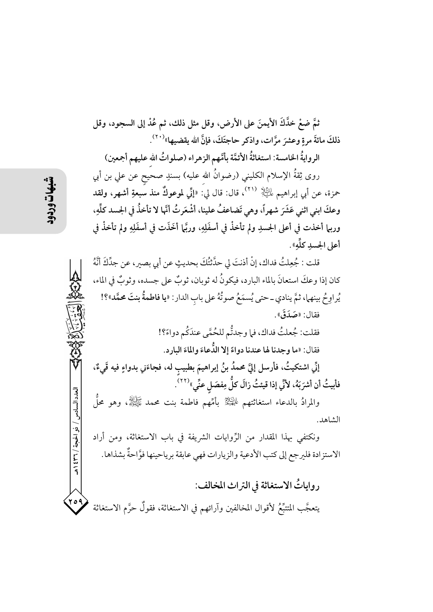ثمَّ ضعْ خدَّكَ الأيمنَ على الأرض، وقل مثل ذلك، ثم عُدْ إلى السجود، وقل ذلكَ مائةَ مرةٍ وعشرَ مرَّات، واذكر حاجتَكَ، فإنَّ الله يقضيها»<sup>(٢٠)</sup>.

الروايةُ الخامسة: استغاثةُ الأئمَّة بأمَّهم الزهراء (صلواتُ الله عليهم أجمعين) روى ثِقةُ الإسلام الكليني (رضوانُ الله عليه) بسندٍ صحيح عن علي بن أبي حمزة، عن أبي إبراهيم لِمائِيًا۞ (٢١)، قال: قال لي: «إنِّي لموعوكٌ منذ سُبعةِ أشهر، ولقد وعكَ ابني اثني عَشَرَ شهراً، وهي تَضاعفُ علينا، أشْعَرتُ أنَّها لا تأخذُ في الجسد كلِّهِ، وربيا أخذت في أعلى الجسدِ ولم تأخذْ في أسفَلِهِ، وربَّها أخَذَت في أسفَلِهِ ولم تأخذْ في أعلى الحسد كلِّه».

قلت : جُعِلتُ فداك، إنْ أذنتَ لي حدَّثْتُكَ بحديثٍ عن أبي بصير، عن جدِّكَ أنَّهُ كان إذا وعكَ استعانَ بالماء البارد، فيكونُ له ثوبان، ثوبٌ على جسده، وثوبٌ في الماء، يُراوِحُ بينهما، ثمَّ ينادي \_ حتى يُسمَعُ صوتُهُ على باب الدار : «**يا فاطمةُ بنتَ محمَّد**»؟! فقال: «صَدَقَ». فقلت: جُعلتُ فداك، فما وجدتُّم للحُمَّى عندَكُم دواءً؟! فقال: «ما وجدنا لها عندنا دواءً إلا الدُّعاءَ والماءَ البارد. إنِّي اشتكيتُ، فأرسل إليَّ محمدُ بنُ إبراهيمَ بطبيبٍ له، فجاءَني بدواءٍ فيه قَيءٌ، فأبيتُ أن أشرَبَهُ، لأنِّي إذا قيئتُ زالَ كلُّ مِفصَلٍ عنِّي»<sup>(٢٢)</sup>. والمرادُ بالدعاء استغاثتهم لِلْهَيِّلْأُ بِأُمِّهِم فاطمة بنت محمد ﷺ، وهو محلَّ الشاهد. ونكتفى بهذا المقدار من الرِّوايات الشريفة في باب الاستغاثة، ومن أراد الاستزادة فليرجع إلى كتب الأدعية والزيارات فهي عابقة برياحينها فوَّاحةٌ بشذاها. رواياتُ الاستغاثة في التراث المخالف:

يتعجَّب المتتبِّعُ لأقوال المخالفين وآرائهم في الاستغاثة، فقولٌ حرَّم الاستغاثة

العدد السادس / ذو الحجة / ٣٦٦ / ه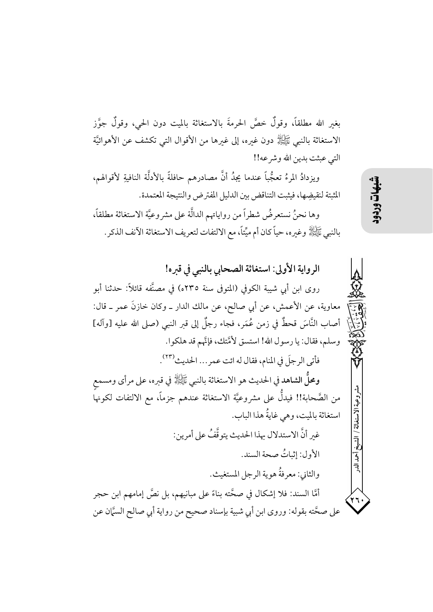بغير الله مطلقاً، وقولٌ خصَّ الحرمةَ بالاستغاثة بالميت دون الحي، وقولٌ جوَّز الاستغاثة بالنبي ﷺ دون غيره، إلى غيرها من الأقوال التي تكشف عن الأهوائيَّة التبي عبثت بدين الله وشر عه!!

ويزدادُ المرءُ تعجُّباً عندما يجدُ أنَّ مصادرهم حافلةً بالأدلَّة النافيةِ لأقوالهم، المثبتة لنقيضِها، فيثبت التناقض بين الدليل المفترض والنتيجة المعتمدة.

وها نحنُ نستعرضُ شطراً من رواياتهم الدالَّة على مشر وعيَّة الاستغاثة مطلقاً، بِالنبي ﷺ وغيره، حياً كان أم ميِّتاً، مع الالتفات لتعريف الاستغاثة الآنف الذكر .

الرواية الأولى: استغاثة الصحابي بالنبي في قبره! روى ابن أبي شيبة الكوفي (المتوفى سنة ٢٣٥ه) في مصنَّفه قائلاً: حدثنا أبو معاوية، عن الأعمش، عن أبي صالح، عن مالك الدار ــ وكان خازنَ عمر ــ قال: أصاب النَّاسَ قحطٌ في زمن عُمَرٍ، فجاء رجلٌ إلى قبر النبي (صلى الله عليه [وآله] وسلم، فقال: يا رسول الله! استسق لأَمَّتك، فإنَّهم قد هلكوا. فأتى الرجلَ في المنام، فقال له ائت عمر ... الحديث (٢٣). ومحلُّ الشاهد في الحديث هو الاستغاثة بالنبي ﷺ في قبره، على مرأى ومسمع من الصَّحابة!! فيدلُّ على مشروعيَّة الاستغاثة عندهم جزماً، مع الالتفات لكونهاً وعية الاستغاثة / الشيخ أحمد الدر استغاثة بالميت، وهي غايةٌ هذا الباب. غير أنَّ الاستدلال بهذا الحديث يتو قَّفُ على أمرين: الأول: إثباتُ صحة السند. والثاني: معرفةُ هو ية الرجل المستغيث. أمَّا السند: فلا إشكال في صحَّته بناءً على مبانيهم، بل نصَّ إمامهم ابن حجر على صحَّته بقوله: وروى ابن أبي شبية بإسناد صحيح من رواية أبي صالح السَّمان عن

شهات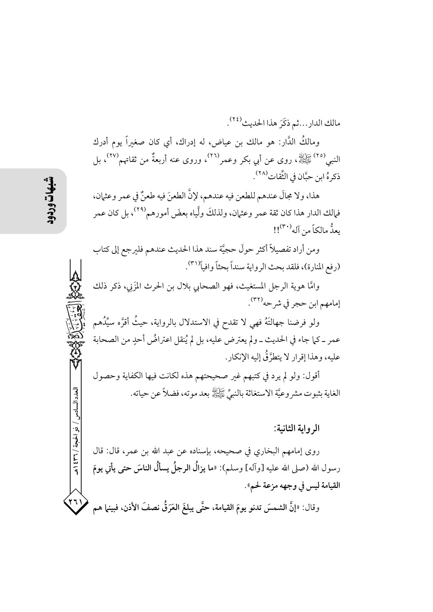مالك الدار...ثم ذكَرَ هذا الحديث<sup>(٢٤)</sup>.

ومالكُ الدَّار: هو مالك بن عياض، له إدراك، أي كان صغيراً يوم أدرك النبي `` كَتَالِلَهُ ، روى عن أبي بكر وعمر ``` ، وروى عنه أربعةٌ من ثقاتهم ``` ، بل ذكرهُ ابنِ حبَّانٍ في الثِّقاتِ<sup>(٢٨</sup>).

هذا، ولا مجالَ عندهم للطعن فيه عندهم، لإنَّ الطعنَ فيه طعنٌ في عمرٍ وعثمان، فمالك الدار هذا كان ثقة عمر وعثمان، ولذلكَ ولَّياه بعضَ أمورهم<sup>(٢٩)</sup>، بل كان عمر بعدُّ مالكاً من آله<sup>(٣٠)</sup>!!

ومن أراد تفصيلاً أكثر حولَ حجيَّة سند هذا الحديث عندهم فليرجع إلى كتاب (رفع المنارة)، فلقد بحث الرواية سنداً بحثاً وافياً(٣١).

وامًّا هوية الرجل المستغيث، فهو الصحابي بلال بن الحرث المزَنِي، ذكر ذلك إمامهم ابن حجر في شرحه".

ولو فرضنا جهالتَهُ فهي لا تقدح في الاستدلال بالرواية، حيثُ أقرَّه سيِّدُهم عمر ـ كما جاء في الحديث ـ ولم يعترض عليه، بل لم يُنقل اعتراضُ أحدٍ من الصحابة عليه، وهذا إقرار لا يتطرَّقُ إليه الإنكار .

أقول: ولو لم يرد في كتبهم غير صحيحتهم هذه لكانت فيها الكفاية وحصول الغاية بثبوت مشر وعيَّة الاستغاثة بالنبيِّ ﷺ بعد موته، فضلاً عن حياته.

### الر واية الثانية:

روى إمامهم البخاري في صحيحه، بإسناده عن عبد الله بن عمر، قال: قال رسول الله (صلى الله عليه [وآله] وسلم): «ما يزالُ الرجلُ يسألُ الناسَ حتى يأتي يومَ القيامة ليس في وجهه مزعة لحم».

 $(77)$ وقال: «إنَّ الشمسَ تدنو يومَ القيامة، حتَّى يبلغَ العَرَقُ نصفَ الأذن، فبينها هم

العدد السادس

، ذو الحجة / ٢٦١ / ه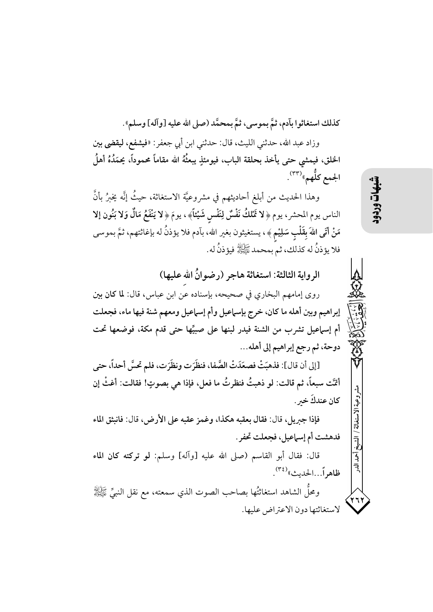كذلك استغاثوا بآدم، ثمَّ بموسى، ثمَّ بمحمَّد (صلى الله عليه [وآله] وسلم». وزاد عبد الله، حدثني الليث، قال: حدثني ابن أبي جعفر: «فيشفع، ليقضي بين الخلق، فيمشي حتى يأخذ بحلقة الباب، فيومئذٍ يبعثُهُ الله مقاماً محموداً، يحمَدُهُ أهلُ

الجمع كلُّهم»<sup>(٣٣)</sup>.

وهذا الحديث من أبلغ أحاديثهم في مشروعيَّة الاستغاثة، حيثُ إنَّه يخبرُ بأنَّ الناس يوم المحشر، يوم ﴿لا تَمَّلكُ نَفْسٌ لِنَفْسٍ شَيْئاً﴾، يومَ ﴿لا يَنْفَعُ مَالٌ وَلا بَنُون إلا مَنْ أَتَمِى اللهَ بِقَلْبٍ سَلِيْمٍ ﴾، يستغيثون بغير الله، بآدم فلا يؤذنُ له بإغاثتهم، ثمَّ بموسى فلا يؤذنُ له كذلك، ثم بمحمد عَيَّالِلَّهُ فيؤذنُ له.

الرواية الثالثة: استغاثة هاجر (رضوانٌ الله عليها)

روى إمامهم البخاري في صحيحه، بإسناده عن ابن عباس، قال: لما كان بين إبراهيم وبين أهله ما كان، خرج بإسهاعيل وأم إسهاعيل ومعهم شنة فيها ماء، فجعلت أم إسهاعيل تشرب من الشنة فيدر لبنها على صبيِّها حتى قدم مكة، فوضعها تحت دوحة، ثم رجع إبراهيم إلى أهله...

[إلى أن قال]: فذهبَتْ فصعَدَتْ الصَّفا، فنظَرَت ونظَرَت، فلم تحسَّ أحداً، حتى أمَّتَ سبعاً، ثم قالت: لو ذهبتُ فنظرتُ ما فعل، فإذا هي بصوتٍ! فقالت: أغثْ إن كان عندكَ خبر .

فإذا جبريل، قال: فقال بعقبه هكذا، وغمز عقبه على الأرض، قال: فانبثق الماء فدهشت أم إسهاعيل، فجعلت تحفر .

قال: فقال أبو القاسم (صلى الله عليه [وآله] وسلم: لو تركته كان الماء ظاهراً...الحديث»<sup>(٣٤)</sup>.

ومحلٌّ الشاهد استغاثتُها بصاحب الصوت الذي سمعته، مع نقل النبيِّ ﷺ لاستغاثتها دون الاعتراض عليها. مشر وعية الاستغاثة / الشيخ أحمد الدر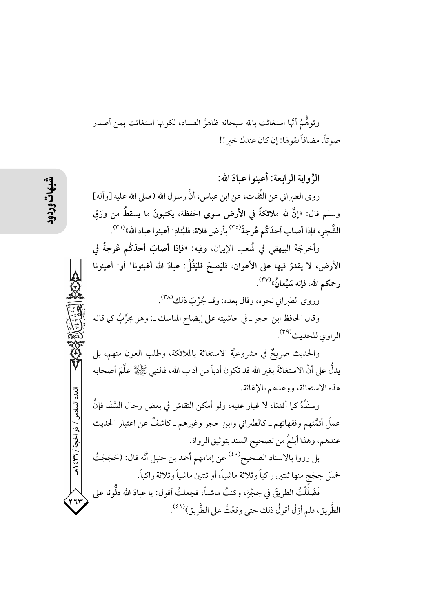وتوهُّمُ أنَّها استغاثت بالله سبحانه ظاهرُ الفساد، لكونها استغاثت بمن أصدر صوتاً، مضافاً لقو لها: إن كان عندك خبر!!

الرٌّ وإية الرابعة: أعينوا عبادَ الله: روى الطبراني عن الثِّقات، عن ابن عباس، أنَّ رسول الله (صلى الله عليه [وآله] وسلم قال: «إنَّ لله ملائكةً في الأرض سوى الحفظة، يكتبونَ ما يسقطُ من ورَقِ الشَّجرِ، فإذا أصاب أحدَكُم عُرجةٌ<sup>(٣٥)</sup> بأرض فلاة، فليُنادِ: أعينوا عباد الله»<sup>(٣٦)</sup>.

وأخرجَهُ البيهقي في شُعب الإيهان، وفيه: «فإذا أصابَ أحدَكُم عُرجةً في الأرض، لا يقدرُ فيها على الأعوان، فليَصحْ فليَقُلْ: عبادَ الله أغيثونا! أو: أعينونا رحمكم الله، فإنه سَيُعانُ»<sup>(٣٧)</sup>.

وروى الطبراني نحوه، وقال بعده: وقد جُرِّبَ ذلك (٣٨).

وقال الحافظ ابن حجر \_ في حاشيته على إيضاح المناسك ــ: وهو مجرَّبٌ كما قاله الراوي للحديث<sup>(٣٩)</sup>.

والحديث صريحٌ في مشروعيَّة الاستغاثة بالملائكة، وطلب العون منهم، بل يدلُّ على أنَّ الاستغاثةَ بغير الله قد تكون أدباً من آداب الله، فالنبي ﷺ علَّمَ أصحابه هذه الاستغاثة، ووعدهم بالإغاثة.

وسنَدُهُ كما أفدنا، لا غبار عليه، ولو أمكن النقاش في بعض رجال السَّنَد فإنَّ عملَ أئمَّتهم وفقهائهم ـ كالطبراني وابن حجر وغيرهم ـ كاشفٌ عن اعتبار الحديث عندهم، وهذا أبلغُ من تصحيح السند بتوثيق الرواة.

بل رووا بالاسناد الصحيح<sup>(٤٠)</sup> عن إمامهم أحمد بن حنبل أنَّه قال: (حَجَجْتُ خمسَ حِجَج منها ثنتين راكباً وثلاثة ماشياً، أو ثنتين ماشياً وثلاثة راكباً. فَضَلَلْتُ الطريقَ في حِجَّةٍ، وكنتُ ماشياً، فجعلتُ أقول: يا عبادَ الله دلُّونا على الطَّرِيقِ، فلم أزلْ أقو لُ ذلك حتى وقعْتُ على الطَّرِيقِ)(<sup>(٤)</sup>.

العدد السادس / ذو الحجة / ٣٦ / ٤٣٩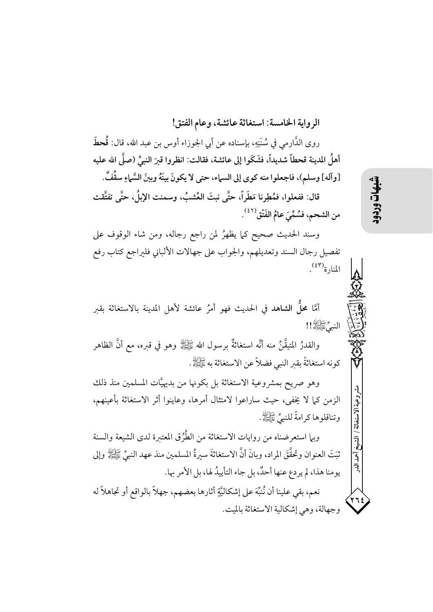الرواية الخامسة: استغاثة عائشة، وعام الفتق! روى الدَّارمي في سُنَنِهِ، بإسناده عن أبي الجوزاء أوس بن عبد الله، قال: قُحطَ أهلُ المدينة قحطاً شديداً، فشَكَوا إلى عائشة، فقالت: انظروا قبرَ النبيِّ (صلَّى الله عليه [وآله] وسلم)، فاجعلوا منه كوى إلى السماء، حتى لا يكونَ بينَهُ وبينَ السَّماءِ سقُّفٌ. قال: ففعلوا، فمُطِرنا مَطَراً، حتَّى نبتَ العُشبُ، وسمنت الإبلُ، حتَّى تفتَّقت من الشحم، فسُمِّيَ عامُ الفَتْقِ (٤٢). وسند الحديث صحيح كيا يظهرُ لمن راجع رجاله، ومن شاء الوقوف على

تفصيل رجال السند وتعديلهم، والجواب على جهالات الألباني فليراجع كتاب رفع  $\mathcal{L}^{(\mathfrak{X})}$ المناد ة

أمَّا محلُّ الشاهد في الحديث فهو أمرُ عائشة لأهل المدينة بالاستغاثة بقبر النبي عَلَيْ اللهُ !!<br>النبي عَلَيْ وَلَهُ !!

والقدرُ المتيقَّنُ منه أنَّه استغاثةٌ برسول الله ﷺ وهو في قبره، مع أنَّ الظاهر كونه استغاثةً بقبر النبي فضلاً عن الاستغاثة به ﷺ.

وهو صريح بمشروعية الاستغاثة بل بكونها من بديهيَّات المسلمين منذ ذلك الزمن كما لا يخفي، حيث ساراعوا لامتثال أمرها، وعاينوا أثر الاستغاثة بأعينهم، وِ تناقلو ها كرامةً للنبيِّ عَلَيْ اللهُ ۚ

وبها استعرضناه من روايات الاستغاثة من الطُّرُق المعتبرة لدى الشيعة والسنة ثَبَتَ العنوان وتحقَّقَ المراد، وبانَ أنَّ الاستغاثةَ سيرةُ المسلمين منذ عهد النبيِّ ﷺ وإلى يومنا هذا، لم يردع عنها أحدٌ، بل جاء التأييدُ لها، بل الأمر بها. نعم، بقى علينا أن نُنبِّهَ على إشكاليَّةٍ أثارها بعضهم، جهلاً بالواقع أو تجاهلاً له

وجهالة، وهي إشكالية الاستغاثة بالميت.

ِ وعية الاستغاثة / الشيخ أحمد الدر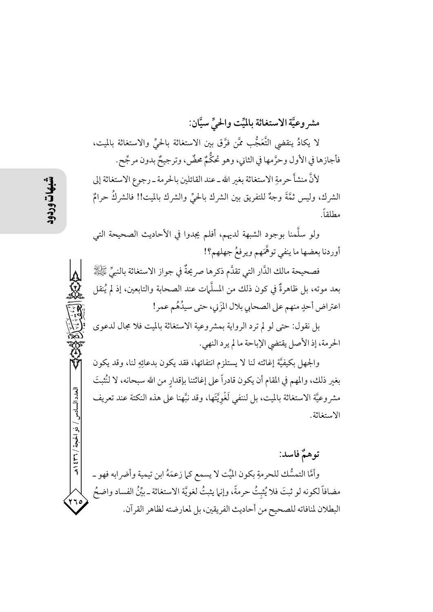# مشر وعيَّة الاستغاثة بالميِّت والحيِّ سيَّان:

لا يكادُ ينقضي التَّعَجُّب ممَّن فرَّق بين الاستغاثة بالحيِّ والاستغاثة بالميت، فأجازها في الأول وحرَّمها في الثاني، وهو تحكُّمٌ محضٌ، وترجيحٌ بدون مرجِّح.

لأنَّ منشأً حرمةِ الاستغاثة بغير الله ـ عند القائلين بالحرمة ـ رجوعِ الاستغاثة إلى الشرك، وليس ثمَّةَ وجهٌ للتفريق بين الشرك بالحيِّ والشرك بالميت!! فالشركُ حرامٌ مطلقاً

ولو سلَّمنا بوجود الشبهة لديهم، أفلم يجدوا في الأحاديث الصحيحة التي أوردنا بعضها ما ينفي توهَّمَهم ويرفعُ جهلهم؟!

فصحيحة مالك الدَّار التي تقدَّم ذكرها صريحةٌ في جواز الاستغاثة بالنبيِّ ﷺ بعد موته، بل ظاهرةٌ في كون ذلك من المسلَّمات عند الصحابة والتابعين، إذ لم يُنقل اعتراض أحدٍ منهم على الصحابي بلال المزِّ بي، حتى سيلُهُم عمر !

بل نقول: حتى لو لم ترد الرواية بمشروعية الاستغاثة بالميت فلا مجال لدعوى الحرمة، إذ الأصل يقتضي الإباحة ما لم يرد النهي.

والجهل بكيفيَّة إغاثته لنا لا يستلزم انتفائها، فقد يكون بدعائِهِ لنا، وقد يكون بغير ذلك، والمهم في المقام أن يكون قادراً على إغاثتنا بإقدارٍ من الله سبحانه، لا لنُّثبتَ مشروعيَّة الاستغاثة بالميت، بل لننفي لَغْويَّتَها، وقد نبَّهنا على هذه النكتة عند تعريف الاستغاثة.

# توهمٌ فاسد:

وأمَّا التمسُّك للحرمةِ بكون المِّت لا يسمع كما زعمَهُ ابن تيمية وأضرابه فهو ـ مضافاً لكونه لو ثبتَ فلا يُثبِتُ حرمةً، وإنها يثبتُ لغويَّة الاستغاثة ـ بيِّنُ الفساد واضحُ البطلان لمنافاته للصحيح من أحاديث الفريقين، بل لمعارضته لظاهر القرآن.

العدد السادس / ذو الحيجة / ٣٦ / ٤٣٩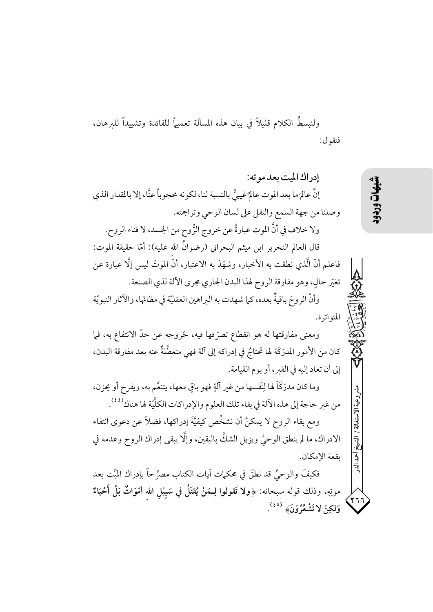ولنبسطُ الكلام قليلاً في بيان هذه المسألة تعميهاً للفائدة وتشييداً للبرهان، فنقول:

إدر اك الميت بعد مو ته: إنَّ عالمَ ما بعد الموت عالمٌ غيبيٌّ بالنسبة لنا، لكونه محجوباً عنَّا، إلا بالمقدار الذي وصلنا من جهة السمع والنقل على لسان الوحي وتراجمته. ولا خلاف في أنَّ الموت عبارةٌ عن خروج الرُّوح من الجسد، لا فناء الروح. قال العالم النحرير ابن ميثم البحراني (رضوانُ الله عليه): أمّا حقيقة الموت: فاعلم أنَّ الَّذي نطقت به الأخبار، وشهَدَ به الاعتبار، أنَّ الموتَ ليس إلَّا عبارة عن تغيِّر حالٍ، وهو مفارقة الروح لهذا البدن الجاري مجري الآلة لذي الصنعة. وأنَّ الروحَ باقيةٌ بعده، كما شهدت به البراهين العقليّة في مظامّها، والآثار النبويّة المتواترة. ومعنى مفارقتها له هو انقطاع تصرِّفها فيه، لخروجه عن حدِّ الانتفاع به، فيا كان من الأمور المدرَكَة لها تحتاجُ في إدراكه إلى آلة فهي متعطَّلةٌ عنه بعد مفارقة البدن، إلى أن تعاد إليه في القبر، أو يوم القيامة. وما كان مدرَكَاً لها لِنَفسها من غير آلةٍ فهو باقٍ معها، يتنعَّم به، ويفرح أو يحزِن، مشر وعية الاستغاثة / الشيخ أحد الد من غير حاجة إلى هذه الآلة في بقاء تلك العلوم والإدراكات الكلَّيّة لها هناكِ (٤٤). ومع بقاء الروح لا يمكنُ أن نشخِّص كيفيَّةَ إدراكها، فضلاً عن دعوى انتفاء الادراك، ما لم ينطق الوحيُ ويزيل الشكَّ باليقين، وإلَّا يبقى إدراك الروح وعدمه في بقعة الإمكان. فكيفَ والوحىُ قد نطقَ في محكمات آيات الكتاب مصرِّحاً بإدراك الميِّت بعد موتِهِ، وذلك قوله سبحانه: ﴿ولا تَقولُوا لِـمَنْ يُقتَلُ في سَبِيْلِ الله أَمْوَاتٌ بَلْ أَحْيَاءٌ ۖ وَلَكِنْ لَا تَشْعُرُوْنَ﴾ ( 2 ).

شهات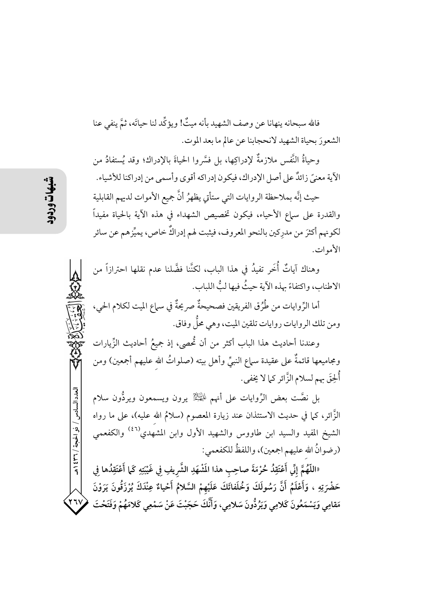فالله سبحانه ينهانا عن وصف الشهيد بأنه ميثٌ! ويؤكِّد لنا حياتَه، ثمَّ ينفي عنا الشعورَ بحياة الشهيد لانحجابنا عن عالم ما بعد الموت.

وحياةُ النَّفس ملازمةٌ لإدراكِها، بل فسَّروا الحياةَ بالإدراك؛ وقد يُستفادُ من الآية معنيَّ زائلٌ على أصل الإدراك، فيكون إدراكه أقوى وأسمى من إدراكنا للأشياء.

حيث إنَّه بملاحظة الروايات التي ستأتى يظهرُ أنَّ جميع الأموات لديهم القابلية والقدرة على سباع الأحياء، فيكون تخصيص الشهداء في هذه الآية بالحياة مفيداً لكونهم أكثرَ من مدرِكين بالنحو المعروف، فيثبت لهم إدراكٌ خاص، يميِّزهم عن سائر الأموات.

وهناك آياتٌ أُخَر تفيدُ في هذا الباب، لكنَّنا فضَّلنا عدم نقلها احترازاً من الاطناب، واكتفاءً بهذه الآية حيثُ فيها لبُّ اللباب.

أما الرِّوايات من طُّرُق الفريقين فصحيحةٌ صريحةٌ في سماع الميت لكلام الحي، ومن تلك الروايات روايات تلقين الميت، وهي محلٌّ وفاق.

وعندنا أحاديث هذا الباب أكثر من أن تُحصى، إذ جميعُ أحاديث الزِّيارات ومجاميعها قائمةٌ على عقيدة سماع النبيِّ وأهل بيته (صلواتُ الله عليهم أجمعين) ومن أُلْحِقَ بهم لسلام الزَّائر كيا لا يُخفى .

بل نصَّت بعض الرِّوايات على أنهم لِلَيِّلاثِ يرون ويسمعون ويردُّون سلام الزَّائر، كما في حديث الاستئذان عند زيارة المعصوم (سلامُ الله عليه)، على ما رواه الشيخ المفيد والسيد ابن طاووس والشهيد الأول وابن المشهدى<sup>(٤٦)</sup> والكفعمى (رضوانُ الله عليهم اجمعين)، واللفظُ للكفعمي:

العدد السادس / ذو الحجة / ٣٦ / ٤٣٩ «اللَّهُمَّ إِنِّي أَعْتَقِدُ حُرْمَةَ صاحِب هذا الَمْشْهَدِ الشَّريفِ فِي غَيْبَتِهِ كَما أَعْتَقِدُها فِي حَضْرَتِهِ ، وَأَعْلَمُ أَنَّ رَسُولَكَ وَخُلَفائَكَ عَلَيْهِمْ السَّلامُ أَحْياءٌ عِنْدَكَ يُرْزَقُونَ يَرَوْنَ  $\mathsf{y}\mathsf{y}\mathsf{y}$ مَقامِي وَيَسْمَعُونَ كَلامِي وَيَرُدُّونَ سَلامِي، وَأَنَّكَ حَجَبْتَ عَنْ سَمْعِي كَلامَهُمْ وَفَتَحْتَ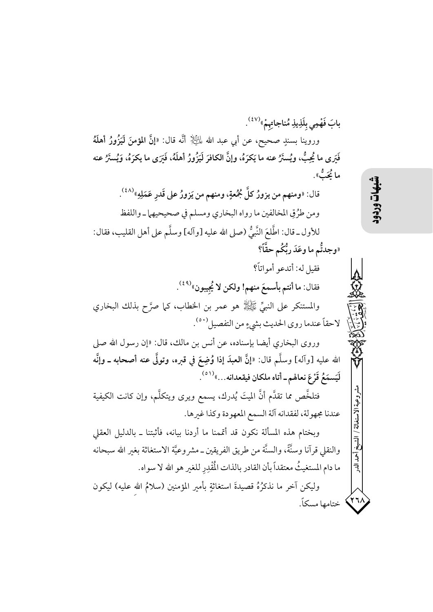بابَ فَهْمِي بِلَذِيذِ مُناجاتِهِمْ»<sup>(٤٧)</sup> . وروينا بسندٍ صحيح، عن أبي عبد الله لِمَلَيْكِ ۚ أَنَّه قال: «إِنَّ المؤمنَ لَيَزُورُ أَهلَهُ فَيَرى ما يُحِبُّ، ويُستَرُ عنه ما يَكرَهُ، وإنَّ الكافرَ لَيَزُورُ أهلَهُ، فَيَرَى ما يكرَهُ، وَيُستَرُ عنه ما مُحَبٌّ». قال: «ومنهم من يزورُ كلَّ جُمُعةٍ، ومنهم من يَزورُ على قَدرِ عَمَلِهِ»<sup>(٤٨)</sup>. ومن طرُقِ المخالفين ما رواه البخاري ومسلم في صحيحيهما ـ واللفظ للأول ــ قال: اطَّلعَ النَّبِيُّ (صلى الله عليه [وآله] وسلَّم على أهل القليب، فقال: «وجدتُّم ما وعَدَ ربُّكُم حقَّاً؟ فقبل له: أتدعو أمواتاً؟ فقال: ما أنتم بأسمعَ منهم! ولكن لا يُجيبون»<sup>(٤٩)</sup>. والمستنكر على النبيِّ ﷺ هو عمر بن الخطاب، كما صرَّح بذلك البخاري لاحقاً عندما روى الحديث بشيءٍ من التفصيل (٥٠). وروى البخاري أيضا بإسناده، عن أنس بن مالك، قال: «إن رسول الله صلى الله عليه [وآله] وسلَّم قال: «إنَّ العبدَ إذا وُضِعَ في قبره، وتولَّى عنه أصحابه ــ وإنَّه لَيَسمَعُ قَرْعَ نعالهم ـ أتاه ملكان فيقعدانه...»<sup>(٥١)</sup>. مشر وعية الاستغاثة / الشيخ أحمد الدر فتلخَّص مما تقدَّم أنَّ الميتَ يُدرك، يسمع ويرى ويتكلَّم، وإن كانت الكيفية عندنا مجهولة، لفقدانه آلة السمع المعهودة وكذا غيرها. وبختام هذه المسألة نكون قد أتممنا ما أردنا بيانه، فأثبتنا ــ بالدليل العقلى والنقلي قرآنا وسنَّةً، والسنَّة من طريق الفريقين\_مشروعيَّة الاستغاثة بغير الله سبحانه ما دام المستغيثُ معتقداً بأن القادر بالذات الْمَقْدِر للغير هو الله لا سواه. وليكن آخر ما نذكرُهُ قصيدةَ استغاثةٍ بأمير المؤمنين (سلامُ الله عليه) ليكون ۳٦) ختامها مسکاً.

شهات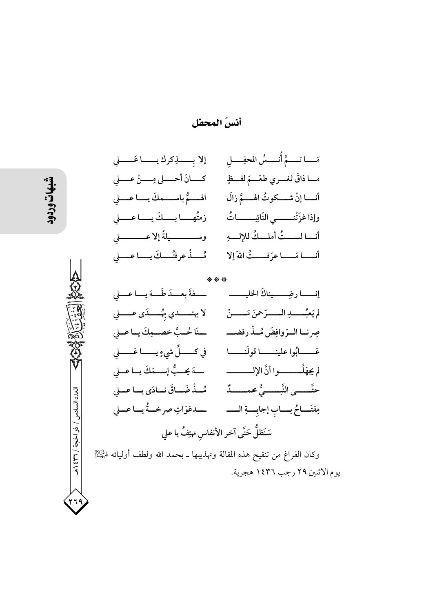# أنسُ المحصل

مَـــا تــــمَّ أُنــــسُ المحفِــــل إلا بـــــــذِكرك يــــــا عَـــــــلي مــا ذاقَ ثغــري طعْــمَ لفــظٍ كـــانَ أحــــلى مِــــنْ عــــلى أنـــا إنْ شــــكوتُ الهــــمَّ زالَ الهــــمُّ باســــمكَ يــــا عــــلى أنـــا لســــتُ أملـــكُ للإلـــهِ وســــــــــيلةً إلا عـــــــــــــلى أنسا مَساعرَفستُ اللهَ إلا مُسَنْد عرفتُسكَ بِسا عسلى

\* \* \*



وكان الفراغ من تنقيح هذه المقالة وتهذيبها ـ بحمد الله ولطف أوليائه لِمُهْتِكِمْ يوم الاثنين ٢٩ رجب ١٤٣٦ هجرية.

العدد السادس / ذو الحجة / ٣٦٦ / هـ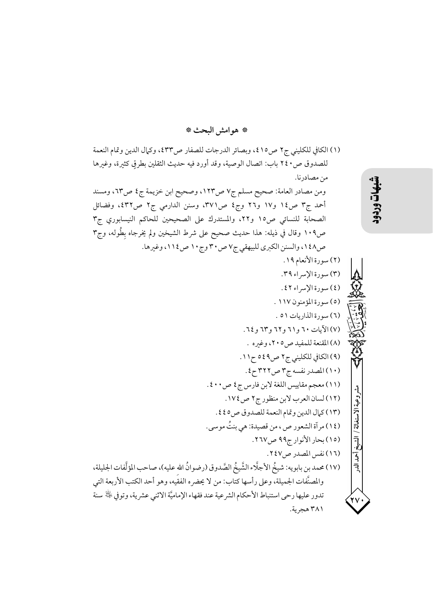\* هوامش البحث \*

(١) الكافي للكليني ج٢ ص٤١٥، وبصائر الدرجات للصفار ص٤٣٣، وكمال الدين وتمام النعمة للصدوق ص٢٤٠ باب: اتصال الوصية، وقد أورد فيه حديث الثقلين بطرقٍ كثيرة، وغيرها من مصادرنا. ومن مصادر العامة: صحيح مسلم ج٧ ص١٢٣، وصحيح ابن خزيمة ج٤ ص٦٣، ومسند أحمد ج٣ ص١٤ و١٧ و٢٦ وج٤ ص٣٧١، وسنن الدارمي ج٢ ص٤٣٢، وفضائل الصحابة للنسائي ص١٥ و٢٢، والمستدرك على الصحيحين للحاكم النيسابوري ج٣ ص١٠٩ وقال في ذيله: هذا حديث صحيح على شرط الشيخين ولم يخرجاه بطُوله، وج٣ ص١٤٨، والسنن الكبرى للبيهقي ج٧ ص٣٠ وج١٠ ص١١٤، وغيرها. (٢) سورة الأنعام ١٩. (۳) سورة الإسراء ۳۹. (٤) سورة الإسراء ٤٢. (٥) سورة المؤمنون ١١٧. (٦) سورة الذاريات ٥١. (٧) الآيات ٦٠ و٢١ و٢٢ و٢٤. (٨) المقنعة للمفيد ص٥٠٥، وغيره . (٩) الكافي للكليني ج٢ ص٤٩ ٥٤٩ ح١١. (١٠) المصدر نفسه ج٣ ص٣٢٢ ح٤. (١١) معجم مقاييس اللغة لابن فارس ج٤ ص٢٠٠. مشر وعية الاستغاثة / الشيخ أحمد الدر (١٢) لسان العرب لابن منظور ج٢ ص ١٧٤. (١٣) كمال الدين وتمام النعمة للصدوق ص٥٤٤. (١٤) مرآة الشعور ص ، من قصيدة: هي بنتُ موسى. (١٥) بحار الأنوارج٩٩ ص٢٦٧. (١٦) نفس المصدر ص٧٤٧. (١٧) محمد بن بابويه: شيخُ الأجلَّاء الشَّيخُ الصَّدوق (رضوانُ الله عليه)، صاحب المؤلَّفات الجليلة، والمصنَّفات الجميلة، وعلى رأسها كتاب: من لا يحضره الفقيه، وهو أحد الكتب الأربعة التي تدور عليها رحى استنباط الأحكام الشرعية عند فقهاء الإماميَّة الاثنى عشرية، وتوفي ﴿ لَهَ سنة ۳۸۱ هجرية.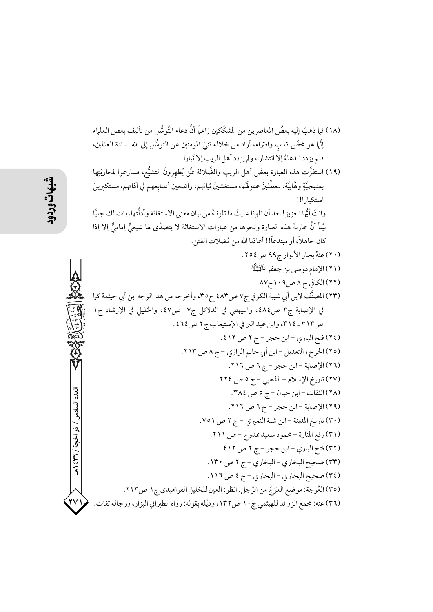(١٨) فها ذهبَ إليه بعضُ المعاصرين من المشكِّكين زاعهاً أنَّ دعاء التَّوسُّل من تأليف بعض العلماء إنَّما هو محضُ كذبٍ وافتراء، أراد من خلاله ثنيَ المؤمنين عن التوسُّل إلى الله بسادة العالمين، فلم يزدد الدعاءُ إلا انتشارا، ولم يزدد أهل الريب إلا تَبارا. (١٩) استفزَّت هذه العبارة بعضَ أهل الريب والضَّلالة ممَّن يُظهرونَ التشيُّع، فسارعوا لمحاربَتِها بمنهجيَّةٍ وهَّابيَّة، معطِّلينَ عقولَهُم، مستغشينَ ثيابَهم، واضعين أصابعهم في آذانهم، مستكبرينَ استكبار ا!! وانتَ أيُّها العزيز ! بعد أن تلونا عليكَ ما تلوناهُ من بيان معنى الاستغاثة وأدلَّتها، بات لك جليًّا بيِّناً أنَّ محاربةَ هذه العبارةِ ونحوها من عبارات الاستغاثة لا يتصدَّى لها شيعيٌّ إماميٌّ إلا إذا كان جاهلاً، أو مبتدعاً!! أعاذنا الله من مُضلات الفتن. (٢٠) عنهُ بحار الأنوار ج٩٩ ص٤٥٤. (٢١) الإمام موسى بن جعفر عليه السيِّلاثيل (۲۲) الكافي ج ۸ ص۱۰۹-۸۷. (٢٣) المصنَّف لابن أبي شيبة الكوفي ج٧ ص٤٨٣ ح٣٥، وأخرجه من هذا الوجه ابن أبي خيثمة كما في الإصابة ج٣ ص٤٨٤، والبيهقي في الدلائل ج٧ ص٤٧، والخليلي في الإرشاد ج١ ص٣١٣\_٢١٤، وابن عبد البر في الإستيعاب ج٢ ص٢٤١٤. (٢٤) فتح الباري - ابن حجر - ج ٢ ص ٤١٢. (٢٥) الجرح والتعديل - ابن أبي حاتم الرازي -ج ٨ ص ٢١٣. (٢٦) الإصابة - ابن حجر - ج ٦ ص ٢١٦. (٢٧) تاريخ الإسلام - الذهبي - ج ٥ ص ٢٢٤. (٢٨) الثقات - ابن حبان - ج ٥ ص ٣٨٤. (٢٩) الإصابة - ابن حجر - ج ٦ ص ٢١٦. (٣٠) تاريخ المدينة - ابن شبة النميري - ج ٢ ص ٧٥١. (٣١) رفع المنارة - محمود سعيد ممدوح - ص ٢١١. (٣٢) فتح الباري - ابن حجر - ج ٢ ص ٤١٢. (٣٣) صحيح البخاري - البخاري - ج ٢ ص ١٣٠. (٣٤) صحيح البخاري - البخاري - ج ٤ ص ١١٦. (٣٥) العُرجة: موضع العرَجَ من الرِّجلِ. انظر : العين للخليل الفراهيدي ج١ ص٢٢٣. (٣٦) عنه: مجمع الزوائد للهيثمي ج١٠ ص١٣٢، وذيَّله بقوله: رواه الطبراني البزار، ورجاله ثقات.

لعدد السادس

/ ذو الحجة / ٢٣٦ / هـ